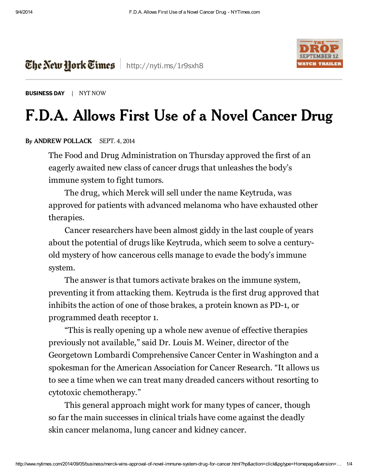

[BUSINESS](http://www.nytimes.com/pages/business/index.html) DAY | NYT NOW

## F.D.A. Allows First Use of a Novel Cancer Drug

## By ANDREW [POLLACK](http://topics.nytimes.com/top/reference/timestopics/people/p/andrew_pollack/index.html) SEPT. 4, 2014

The New Hork Times | <http://nyti.ms/1r9sxh8>

The Food and Drug Administration on Thursday approved the first of an eagerly awaited new class of cancer drugs that unleashes the body's immune system to fight tumors.

The drug, which Merck will sell under the name Keytruda, was approved for patients with advanced melanoma who have exhausted other therapies.

Cancer researchers have been almost giddy in the last couple of years about the potential of drugs like Keytruda, which seem to solve a centuryold mystery of how cancerous cells manage to evade the body's immune system.

The answer is that tumors activate brakes on the immune system, preventing it from attacking them. Keytruda is the first drug approved that inhibits the action of one of those brakes, a protein known as PD-1, or programmed death receptor 1.

"This is really opening up a whole new avenue of effective therapies previously not available," said Dr. Louis M. Weiner, director of the Georgetown Lombardi Comprehensive Cancer Center in Washington and a spokesman for the American Association for Cancer Research. "It allows us to see a time when we can treat many dreaded cancers without resorting to cytotoxic chemotherapy."

This general approach might work for many types of cancer, though so far the main successes in clinical trials have come against the deadly skin cancer melanoma, lung cancer and kidney cancer.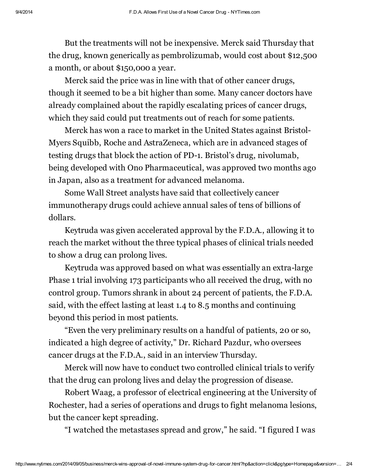But the treatments will not be inexpensive. Merck said Thursday that the drug, known generically as pembrolizumab, would cost about \$12,500 a month, or about \$150,000 a year.

Merck said the price was in line with that of other cancer drugs, though it seemed to be a bit higher than some. Many cancer doctors have already complained about the rapidly escalating prices of cancer drugs, which they said could put treatments out of reach for some patients.

Merck has won a race to market in the United States against Bristol-Myers Squibb, Roche and AstraZeneca, which are in advanced stages of testing drugs that block the action of PD-1. Bristol's drug, nivolumab, being developed with Ono Pharmaceutical, was approved two months ago in Japan, also as a treatment for advanced melanoma.

Some Wall Street analysts have said that collectively cancer immunotherapy drugs could achieve annual sales of tens of billions of dollars.

Keytruda was given accelerated approval by the F.D.A., allowing it to reach the market without the three typical phases of clinical trials needed to show a drug can prolong lives.

Keytruda was approved based on what was essentially an extra-large Phase 1 trial involving 173 participants who all received the drug, with no control group. Tumors shrank in about 24 percent of patients, the F.D.A. said, with the effect lasting at least 1.4 to 8.5 months and continuing beyond this period in most patients.

"Even the very preliminary results on a handful of patients, 20 or so, indicated a high degree of activity," Dr. Richard Pazdur, who oversees cancer drugs at the F.D.A., said in an interview Thursday.

Merck will now have to conduct two controlled clinical trials to verify that the drug can prolong lives and delay the progression of disease.

Robert Waag, a professor of electrical engineering at the University of Rochester, had a series of operations and drugs to fight melanoma lesions, but the cancer kept spreading.

"I watched the metastases spread and grow," he said. "I figured I was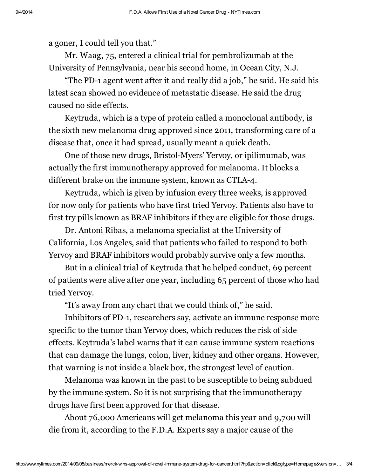a goner, I could tell you that."

Mr. Waag, 75, entered a clinical trial for pembrolizumab at the University of Pennsylvania, near his second home, in Ocean City, N.J.

"The PD-1 agent went after it and really did a job," he said. He said his latest scan showed no evidence of metastatic disease. He said the drug caused no side effects.

Keytruda, which is a type of protein called a monoclonal antibody, is the sixth new melanoma drug approved since 2011, transforming care of a disease that, once it had spread, usually meant a quick death.

One of those new drugs, Bristol-Myers' Yervoy, or ipilimumab, was actually the first immunotherapy approved for melanoma. It blocks a different brake on the immune system, known as CTLA-4.

Keytruda, which is given by infusion every three weeks, is approved for now only for patients who have first tried Yervoy. Patients also have to first try pills known as BRAF inhibitors if they are eligible for those drugs.

Dr. Antoni Ribas, a melanoma specialist at the University of California, Los Angeles, said that patients who failed to respond to both Yervoy and BRAF inhibitors would probably survive only a few months.

But in a clinical trial of Keytruda that he helped conduct, 69 percent of patients were alive after one year, including 65 percent of those who had tried Yervoy.

"It's away from any chart that we could think of," he said.

Inhibitors of PD-1, researchers say, activate an immune response more specific to the tumor than Yervoy does, which reduces the risk of side effects. Keytruda's label warns that it can cause immune system reactions that can damage the lungs, colon, liver, kidney and other organs. However, that warning is not inside a black box, the strongest level of caution.

Melanoma was known in the past to be susceptible to being subdued by the immune system. So it is not surprising that the immunotherapy drugs have first been approved for that disease.

About 76,000 Americans will get melanoma this year and 9,700 will die from it, according to the F.D.A. Experts say a major cause of the